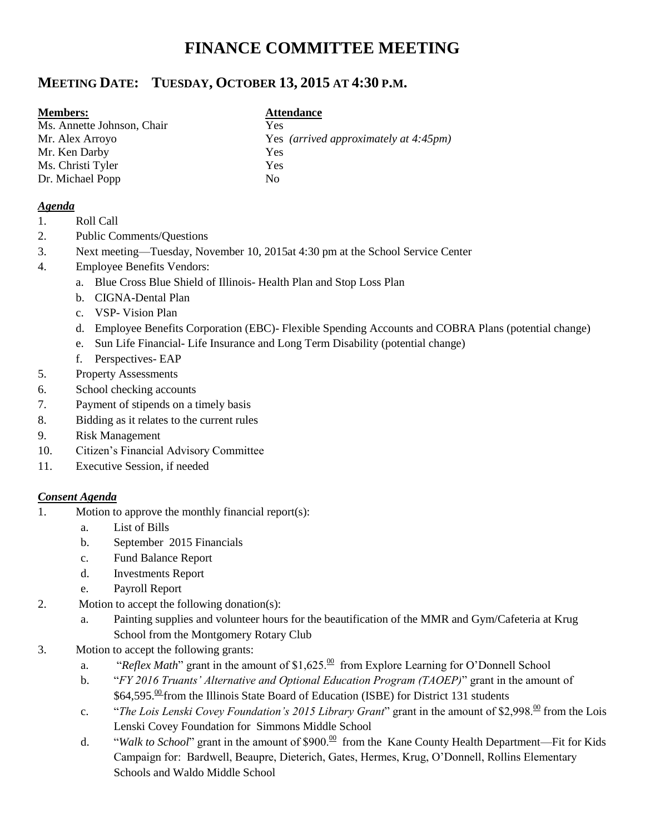# **FINANCE COMMITTEE MEETING**

# **MEETING DATE: TUESDAY, OCTOBER 13, 2015 AT 4:30 P.M.**

#### **Members: Attendance**

Ms. Annette Johnson, Chair Yes Mr. Ken Darby Yes Ms. Christi Tyler Yes Dr. Michael Popp No

Mr. Alex Arroyo Yes *(arrived approximately at 4:45pm)*

#### *Agenda*

- 1. Roll Call
- 2. Public Comments/Questions
- 3. Next meeting—Tuesday, November 10, 2015at 4:30 pm at the School Service Center
- 4. Employee Benefits Vendors:
	- a. Blue Cross Blue Shield of Illinois- Health Plan and Stop Loss Plan
	- b. CIGNA-Dental Plan
	- c. VSP- Vision Plan
	- d. Employee Benefits Corporation (EBC)- Flexible Spending Accounts and COBRA Plans (potential change)
	- e. Sun Life Financial- Life Insurance and Long Term Disability (potential change)
	- f. Perspectives- EAP
- 5. Property Assessments
- 6. School checking accounts
- 7. Payment of stipends on a timely basis
- 8. Bidding as it relates to the current rules
- 9. Risk Management
- 10. Citizen's Financial Advisory Committee
- 11. Executive Session, if needed

### *Consent Agenda*

- 1. Motion to approve the monthly financial report(s):
	- a. List of Bills
	- b. September 2015 Financials
	- c. Fund Balance Report
	- d. Investments Report
	- e. Payroll Report
- 2. Motion to accept the following donation(s):
	- a. Painting supplies and volunteer hours for the beautification of the MMR and Gym/Cafeteria at Krug School from the Montgomery Rotary Club
- 3. Motion to accept the following grants:
	- a. "*Reflex Math*" grant in the amount of \$1,625.<sup> $\omega$ </sup> from Explore Learning for O'Donnell School
	- b. "*FY 2016 Truants' Alternative and Optional Education Program (TAOEP)*" grant in the amount of \$64,595.<sup>00</sup> from the Illinois State Board of Education (ISBE) for District 131 students
	- c. "*The Lois Lenski Covey Foundation's 2015 Library Grant*" grant in the amount of \$2,998.<sup>00</sup> from the Lois Lenski Covey Foundation for Simmons Middle School
	- d. "*Walk to School*" grant in the amount of \$900.<sup>00</sup> from the Kane County Health Department—Fit for Kids Campaign for: Bardwell, Beaupre, Dieterich, Gates, Hermes, Krug, O'Donnell, Rollins Elementary Schools and Waldo Middle School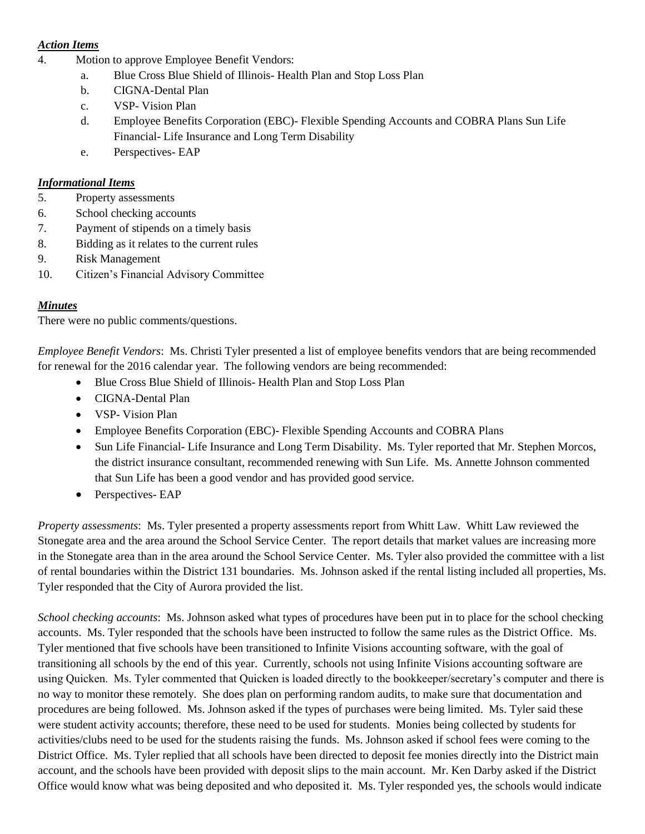#### *Action Items*

- 4. Motion to approve Employee Benefit Vendors:
	- a. Blue Cross Blue Shield of Illinois- Health Plan and Stop Loss Plan
	- b. CIGNA-Dental Plan
	- c. VSP- Vision Plan
	- d. Employee Benefits Corporation (EBC)- Flexible Spending Accounts and COBRA Plans Sun Life Financial- Life Insurance and Long Term Disability
	- e. Perspectives- EAP

## *Informational Items*

- 5. Property assessments
- 6. School checking accounts
- 7. Payment of stipends on a timely basis
- 8. Bidding as it relates to the current rules
- 9. Risk Management
- 10. Citizen's Financial Advisory Committee

#### *Minutes*

There were no public comments/questions.

*Employee Benefit Vendors*: Ms. Christi Tyler presented a list of employee benefits vendors that are being recommended for renewal for the 2016 calendar year. The following vendors are being recommended:

- Blue Cross Blue Shield of Illinois-Health Plan and Stop Loss Plan
- CIGNA-Dental Plan
- VSP- Vision Plan
- Employee Benefits Corporation (EBC)- Flexible Spending Accounts and COBRA Plans
- Sun Life Financial- Life Insurance and Long Term Disability. Ms. Tyler reported that Mr. Stephen Morcos, the district insurance consultant, recommended renewing with Sun Life. Ms. Annette Johnson commented that Sun Life has been a good vendor and has provided good service.
- Perspectives- EAP

*Property assessments*: Ms. Tyler presented a property assessments report from Whitt Law. Whitt Law reviewed the Stonegate area and the area around the School Service Center. The report details that market values are increasing more in the Stonegate area than in the area around the School Service Center. Ms. Tyler also provided the committee with a list of rental boundaries within the District 131 boundaries. Ms. Johnson asked if the rental listing included all properties, Ms. Tyler responded that the City of Aurora provided the list.

*School checking accounts*: Ms. Johnson asked what types of procedures have been put in to place for the school checking accounts. Ms. Tyler responded that the schools have been instructed to follow the same rules as the District Office. Ms. Tyler mentioned that five schools have been transitioned to Infinite Visions accounting software, with the goal of transitioning all schools by the end of this year. Currently, schools not using Infinite Visions accounting software are using Quicken. Ms. Tyler commented that Quicken is loaded directly to the bookkeeper/secretary's computer and there is no way to monitor these remotely. She does plan on performing random audits, to make sure that documentation and procedures are being followed. Ms. Johnson asked if the types of purchases were being limited. Ms. Tyler said these were student activity accounts; therefore, these need to be used for students. Monies being collected by students for activities/clubs need to be used for the students raising the funds. Ms. Johnson asked if school fees were coming to the District Office. Ms. Tyler replied that all schools have been directed to deposit fee monies directly into the District main account, and the schools have been provided with deposit slips to the main account. Mr. Ken Darby asked if the District Office would know what was being deposited and who deposited it. Ms. Tyler responded yes, the schools would indicate